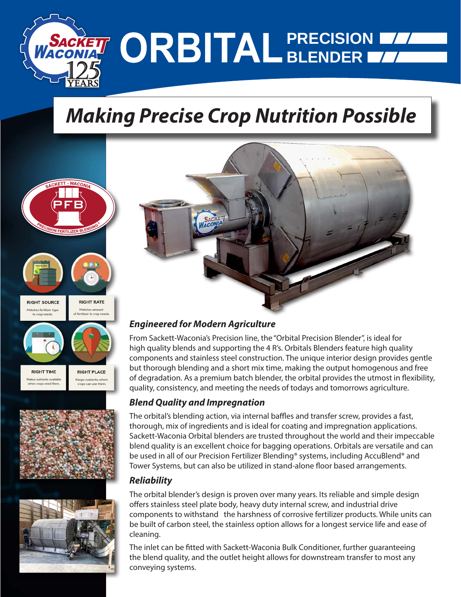

## *Making Precise Crop Nutrition Possible*





Makes nutrients available Keeps nutrients when en crops need then

s numerius wri<br>os can use ther





### *Engineered for Modern Agriculture*

From Sackett-Waconia's Precision line, the "Orbital Precision Blender", is ideal for high quality blends and supporting the 4 R's. Orbitals Blenders feature high quality components and stainless steel construction. The unique interior design provides gentle but thorough blending and a short mix time, making the output homogenous and free of degradation. As a premium batch blender, the orbital provides the utmost in flexibility, quality, consistency, and meeting the needs of todays and tomorrows agriculture.

### *Blend Quality and Impregnation*

The orbital's blending action, via internal baffles and transfer screw, provides a fast, thorough, mix of ingredients and is ideal for coating and impregnation applications. Sackett-Waconia Orbital blenders are trusted throughout the world and their impeccable blend quality is an excellent choice for bagging operations. Orbitals are versatile and can be used in all of our Precision Fertilizer Blending® systems, including AccuBlend® and Tower Systems, but can also be utilized in stand-alone floor based arrangements.

### *Reliability*

The orbital blender's design is proven over many years. Its reliable and simple design offers stainless steel plate body, heavy duty internal screw, and industrial drive components to withstand the harshness of corrosive fertilizer products. While units can be built of carbon steel, the stainless option allows for a longest service life and ease of cleaning.

The inlet can be fitted with Sackett-Waconia Bulk Conditioner, further guaranteeing the blend quality, and the outlet height allows for downstream transfer to most any conveying systems.